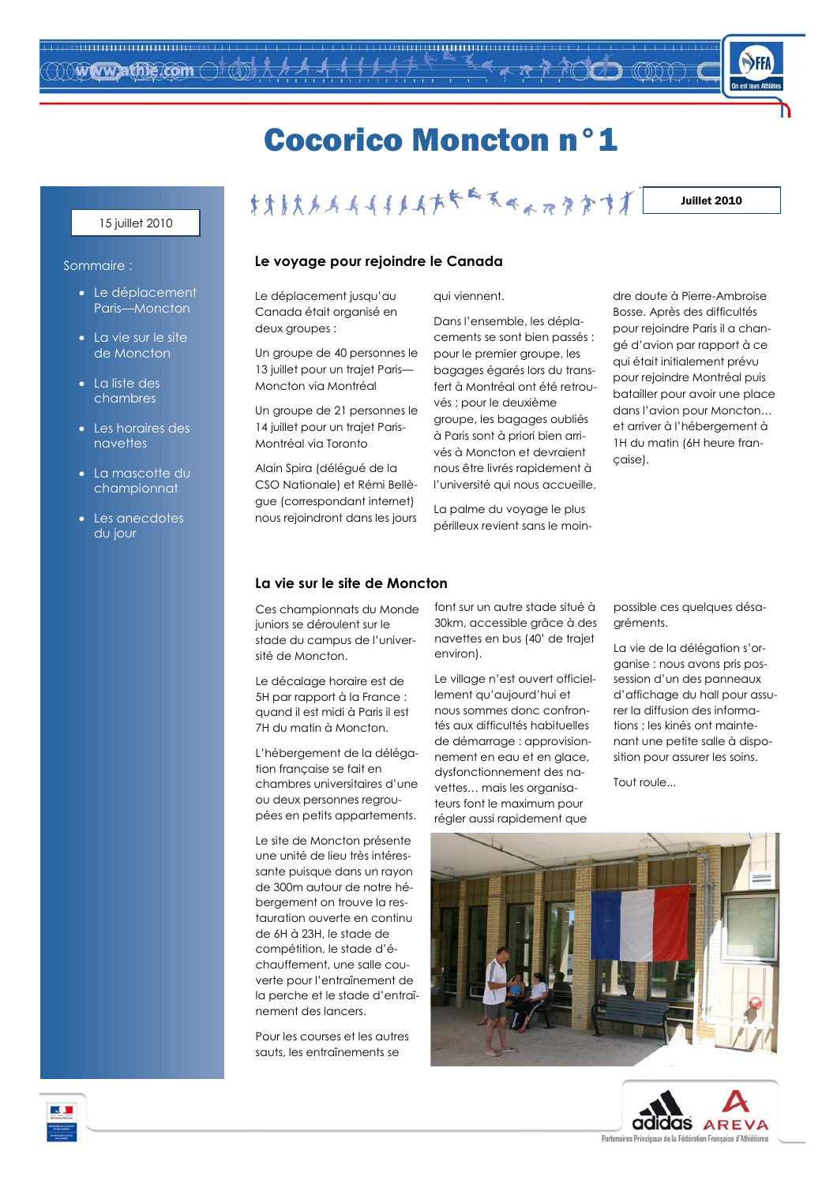

## **Cocorico Moncton n°1**

#### 15 juillet 2010

### Sommaire :

- Le déplacement Paris-Moncton
- La vie sur le site de Moncton
- La liste des chambres
- $\bullet$  Les hordires des navettes
- La mascotte du championnat
- Les anecdotes du jour

#### \*\*\*\*\*\*\*\*\*\*\*\*\*\*\*\*\*\*\*\*\*\* Juillet 2010

#### Le voyage pour rejoindre le Canada

Le déplacement jusqu'au Canada était organisé en deux groupes :

Un groupe de 40 personnes le 13 juillet pour un trajet Paris-Moncton via Montréal

Un groupe de 21 personnes le 14 juillet pour un traiet Paris-Montréal via Toronto

Alain Spira (délégué de la CSO Nationale) et Rémi Bellègue (correspondant internet) nous rejoindront dans les jours

qui viennent.

Dans l'ensemble, les déplacements se sont bien passés : pour le premier groupe, les bagages égarés lors du transfert à Montréal ont été retrouvés ; pour le deuxième groupe, les bagages oubliés à Paris sont à priori bien arrivés à Moncton et devraient nous être livrés rapidement à l'université qui nous accueille.

La palme du voyage le plus périlleux revient sans le moindre doute à Pierre-Ambroise Bosse. Après des difficultés pour rejoindre Paris il a changé d'avion par rapport à ce qui était initialement prévu pour rejoindre Montréal puis batailler pour avoir une place dans l'avion pour Moncton... et arriver à l'hébergement à 1H du matin (6H heure francaise).

#### La vie sur le site de Moncton

Ces championnats du Monde juniors se déroulent sur le stade du campus de l'université de Moncton.

Le décalage horaire est de 5H par rapport à la France : quand il est midi à Paris il est 7H du matin à Moncton.

L'hébergement de la délégation française se fait en chambres universitaires d'une ou deux personnes regroupées en petits appartements.

Le site de Moncton présente une unité de lieu très intéressante puisque dans un rayon de 300m autour de notre hébergement on trouve la restauration ouverte en continu de 6H à 23H. le stade de compétition, le stade d'échauffement, une salle couverte pour l'entraînement de la perche et le stade d'entraînement des lancers.

Pour les courses et les autres squits les entraînements se

font sur un autre stade situé à 30km, accessible grâce à des navettes en bus (40' de trajet environ).

Le village n'est ouvert officiellement qu'aujourd'hui et nous sommes donc confrontés aux difficultés habituelles de démarrage : approvisionnement en eau et en glace, dysfonctionnement des navettes... mais les organisateurs font le maximum pour régler aussi rapidement que

possible ces quelques désagréments.

La vie de la délégation s'organise : nous avons pris possession d'un des panneaux d'affichage du hall pour assurer la diffusion des informations ; les kinés ont maintenant une petite salle à disposition pour assurer les soins.

Tout roule...





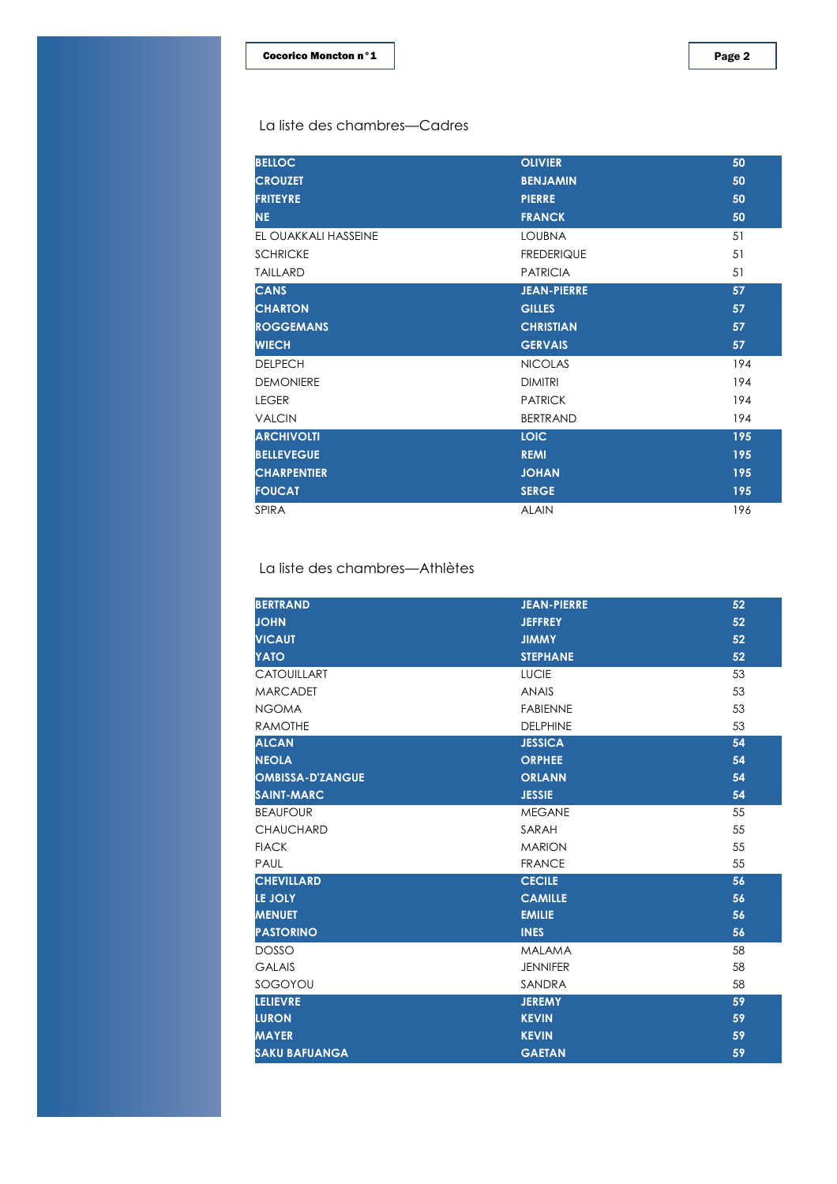| <b>BELLOC</b>        | <b>OLIVIER</b>     | 50  |
|----------------------|--------------------|-----|
| <b>CROUZET</b>       | <b>BENJAMIN</b>    | 50  |
| <b>FRITEYRE</b>      | <b>PIERRE</b>      | 50  |
| NE.                  | <b>FRANCK</b>      | 50  |
| EL OUAKKALI HASSEINE | <b>LOUBNA</b>      | 51  |
| <b>SCHRICKE</b>      | <b>FREDERIQUE</b>  | 51  |
| <b>TAILLARD</b>      | <b>PATRICIA</b>    | 51  |
| <b>CANS</b>          | <b>JEAN-PIERRE</b> | 57  |
| <b>CHARTON</b>       | <b>GILLES</b>      | 57  |
| <b>ROGGEMANS</b>     | <b>CHRISTIAN</b>   | 57  |
|                      |                    |     |
| <b>WIECH</b>         | <b>GERVAIS</b>     | 57  |
| <b>DELPECH</b>       | <b>NICOLAS</b>     | 194 |
| <b>DEMONIERE</b>     | <b>DIMITRI</b>     | 194 |
| <b>LEGER</b>         | <b>PATRICK</b>     | 194 |
| <b>VALCIN</b>        | <b>BERTRAND</b>    | 194 |
| <b>ARCHIVOLTI</b>    | <b>LOIC</b>        | 195 |
| <b>BELLEVEGUE</b>    | <b>REMI</b>        | 195 |
| <b>CHARPENTIER</b>   | <b>JOHAN</b>       | 195 |
| <b>FOUCAT</b>        | <b>SERGE</b>       | 195 |

#### La liste des chambres-Athlètes

| <b>BERTRAND</b>         | <b>JEAN-PIERRE</b>  | 52 |
|-------------------------|---------------------|----|
| <b>JOHN</b>             | <b>JEFFREY</b>      | 52 |
| <b>VICAUT</b>           | <b><i>JIMMY</i></b> | 52 |
| YATO                    | <b>STEPHANE</b>     | 52 |
| CATOUILLART             | <b>LUCIE</b>        | 53 |
| <b>MARCADET</b>         | <b>ANAIS</b>        | 53 |
| <b>NGOMA</b>            | <b>FABIENNE</b>     | 53 |
| <b>RAMOTHE</b>          | <b>DELPHINE</b>     | 53 |
| <b>ALCAN</b>            | <b>JESSICA</b>      | 54 |
| <b>NEOLA</b>            | <b>ORPHEE</b>       | 54 |
| <b>OMBISSA-D'ZANGUE</b> | <b>ORLANN</b>       | 54 |
| <b>SAINT-MARC</b>       | <b>JESSIE</b>       | 54 |
| <b>BEAUFOUR</b>         | <b>MEGANE</b>       | 55 |
| <b>CHAUCHARD</b>        | SARAH               | 55 |
| <b>FIACK</b>            | <b>MARION</b>       | 55 |
| PAUL                    | <b>FRANCE</b>       | 55 |
| <b>CHEVILLARD</b>       | <b>CECILE</b>       | 56 |
| LE JOLY                 | <b>CAMILLE</b>      | 56 |
| <b>MENUET</b>           | <b>EMILIE</b>       | 56 |
| <b>PASTORINO</b>        | <b>INES</b>         | 56 |
| <b>DOSSO</b>            | <b>MALAMA</b>       | 58 |
| <b>GALAIS</b>           | <b>JENNIFER</b>     | 58 |
| SOGOYOU                 | SANDRA              | 58 |
| <b>LELIEVRE</b>         | <b>JEREMY</b>       | 59 |
| <b>LURON</b>            | <b>KEVIN</b>        | 59 |
| <b>MAYER</b>            | <b>KEVIN</b>        | 59 |
| <b>SAKU BAFUANGA</b>    | <b>GAETAN</b>       | 59 |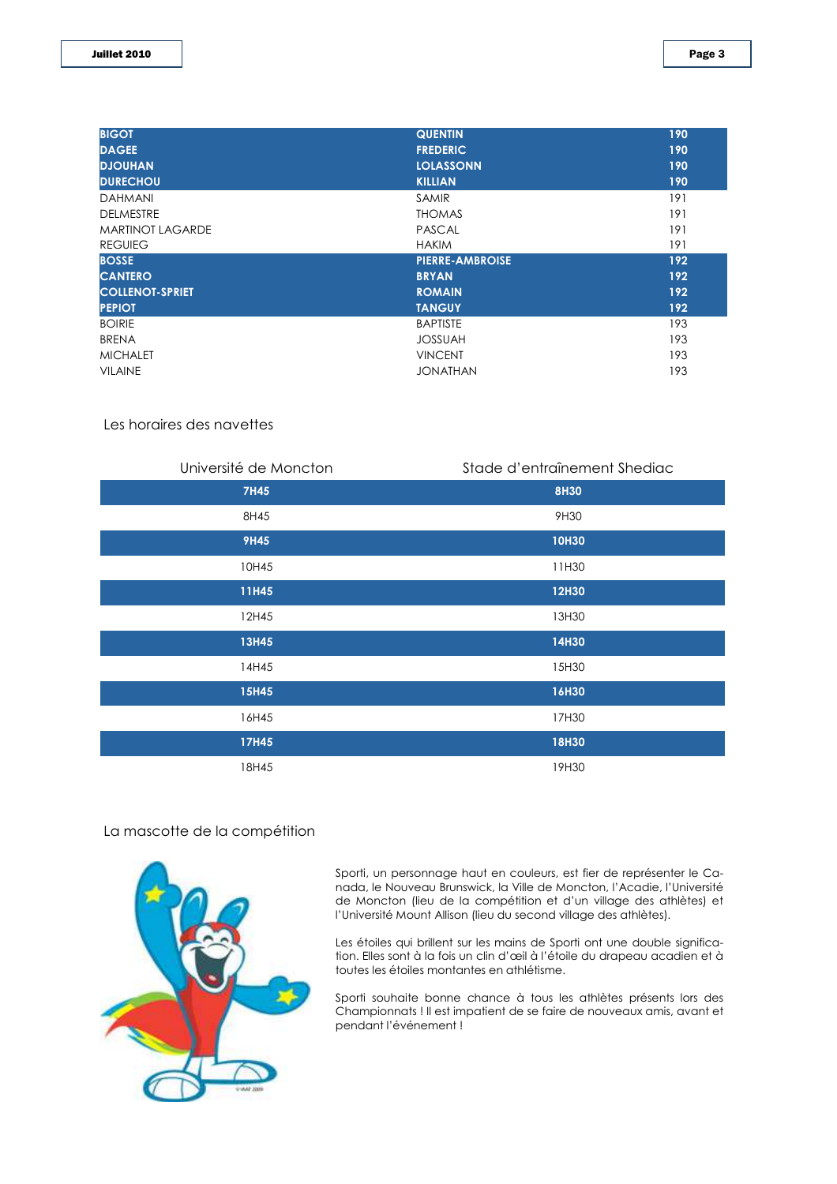| <b>BIGOT</b>            | <b>QUENTIN</b>         | 190 |
|-------------------------|------------------------|-----|
| <b>DAGEE</b>            | <b>FREDERIC</b>        | 190 |
| <b>DJOUHAN</b>          | <b>LOLASSONN</b>       | 190 |
| <b>DURECHOU</b>         | <b>KILLIAN</b>         | 190 |
| <b>DAHMANI</b>          | <b>SAMIR</b>           | 191 |
| <b>DELMESTRE</b>        | <b>THOMAS</b>          | 191 |
| <b>MARTINOT LAGARDE</b> | <b>PASCAL</b>          | 191 |
| <b>REGUIEG</b>          | <b>HAKIM</b>           | 191 |
|                         |                        |     |
| <b>BOSSE</b>            | <b>PIERRE-AMBROISE</b> | 192 |
| <b>CANTERO</b>          | <b>BRYAN</b>           | 192 |
| <b>COLLENOT-SPRIET</b>  | <b>ROMAIN</b>          | 192 |
| <b>PEPIOT</b>           | <b>TANGUY</b>          | 192 |
| <b>BOIRIE</b>           | <b>BAPTISTE</b>        | 193 |
| <b>BRENA</b>            | <b>JOSSUAH</b>         | 193 |
| <b>MICHALET</b>         | <b>VINCENT</b>         | 193 |

#### Les horaires des navettes

| Université de Moncton | Stade d'entraînement Shediac |
|-----------------------|------------------------------|
| 7H45                  | <b>8H30</b>                  |
| 8H45                  | 9H30                         |
| <b>9H45</b>           | <b>10H30</b>                 |
| 10H45                 | 11H30                        |
| 11H45                 | <b>12H30</b>                 |
| 12H45                 | 13H30                        |
| 13H45                 | 14H30                        |
| 14H45                 | 15H30                        |
| 15H45                 | 16H30                        |
| 16H45                 | 17H30                        |
| 17H45                 | <b>18H30</b>                 |
| 18H45                 | 19H30                        |

#### La mascotte de la compétition



Sporti, un personnage haut en couleurs, est fier de représenter le Canada, le Nouveau Brunswick, la Ville de Moncton, l'Acadie, l'Université de Moncton (lieu de la compétition et d'un village des athlètes) et l'Université Mount Allison (lieu du second village des athlètes).

Les étoiles qui brillent sur les mains de Sporti ont une double signification. Elles sont à la fois un clin d'œil à l'étoile du drapeau acadien et à toutes les étoiles montantes en athlétisme.

Sporti souhaite bonne chance à tous les athlètes présents lors des Championnats ! Il est impatient de se faire de nouveaux amis, avant et pendant l'événement!